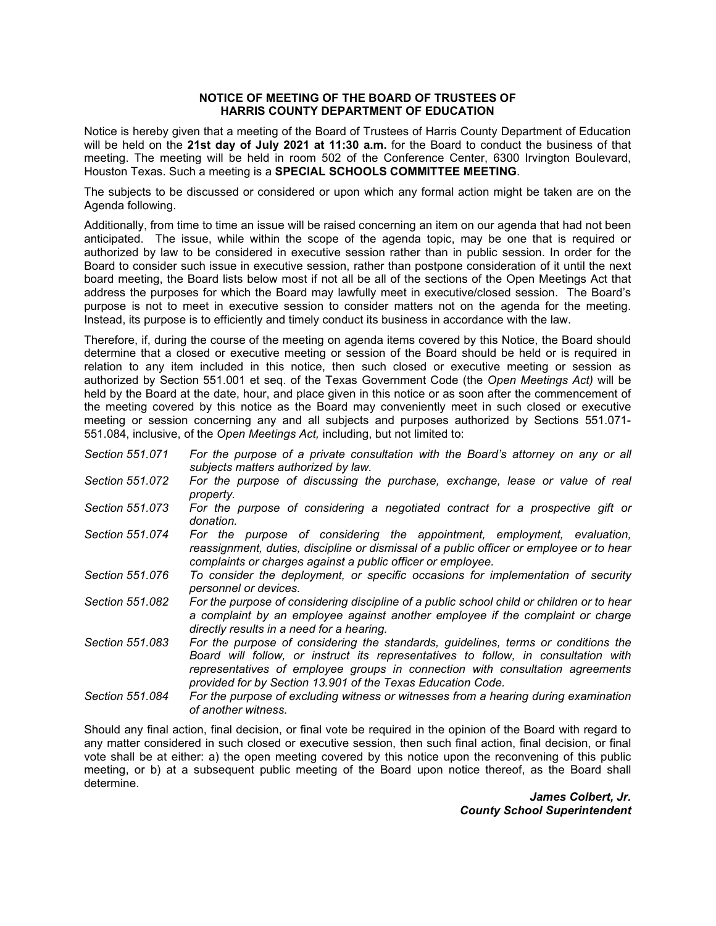## **NOTICE OF MEETING OF THE BOARD OF TRUSTEES OF HARRIS COUNTY DEPARTMENT OF EDUCATION**

 Notice is hereby given that a meeting of the Board of Trustees of Harris County Department of Education  will be held on the **21st day of July 2021 at 11:30 a.m.** for the Board to conduct the business of that meeting. The meeting will be held in room 502 of the Conference Center, 6300 Irvington Boulevard, Houston Texas. Such a meeting is a **SPECIAL SCHOOLS COMMITTEE MEETING**.

 The subjects to be discussed or considered or upon which any formal action might be taken are on the Agenda following.

 Board to consider such issue in executive session, rather than postpone consideration of it until the next board meeting, the Board lists below most if not all be all of the sections of the Open Meetings Act that address the purposes for which the Board may lawfully meet in executive/closed session. The Board's purpose is not to meet in executive session to consider matters not on the agenda for the meeting. Instead, its purpose is to efficiently and timely conduct its business in accordance with the law. Additionally, from time to time an issue will be raised concerning an item on our agenda that had not been anticipated. The issue, while within the scope of the agenda topic, may be one that is required or authorized by law to be considered in executive session rather than in public session. In order for the

 relation to any item included in this notice, then such closed or executive meeting or session as authorized by Section 551.001 et seq. of the Texas Government Code (the *Open Meetings Act)* will be 551.084, inclusive, of the *Open Meetings Act,* including, but not limited to: Therefore, if, during the course of the meeting on agenda items covered by this Notice, the Board should determine that a closed or executive meeting or session of the Board should be held or is required in held by the Board at the date, hour, and place given in this notice or as soon after the commencement of the meeting covered by this notice as the Board may conveniently meet in such closed or executive meeting or session concerning any and all subjects and purposes authorized by Sections 551.071-

- *Section 551.071 For the purpose of a private consultation with the Board's attorney on any or all subjects matters authorized by law.*
- *Section 551.072 For the purpose of discussing the purchase, exchange, lease or value of real property.*
- *Section 551.073 For the purpose of considering a negotiated contract for a prospective gift or donation.*
- Section 551.074  *reassignment, duties, discipline or dismissal of a public officer or employee or to hear*  For the purpose of considering the appointment, employment, evaluation, *complaints or charges against a public officer or employee.*
- *Section 551.076 To consider the deployment, or specific occasions for implementation of security personnel or devices.*
- *Section 551.082 For the purpose of considering discipline of a public school child or children or to hear a complaint by an employee against another employee if the complaint or charge directly results in a need for a hearing.*
- *Section 551.083 For the purpose of considering the standards, guidelines, terms or conditions the Board will follow, or instruct its representatives to follow, in consultation with representatives of employee groups in connection with consultation agreements provided for by Section 13.901 of the Texas Education Code.*
- *Section 551.084 For the purpose of excluding witness or witnesses from a hearing during examination of another witness.*

 Should any final action, final decision, or final vote be required in the opinion of the Board with regard to any matter considered in such closed or executive session, then such final action, final decision, or final vote shall be at either: a) the open meeting covered by this notice upon the reconvening of this public meeting, or b) at a subsequent public meeting of the Board upon notice thereof, as the Board shall determine.

*James Colbert, Jr. County School Superintendent*